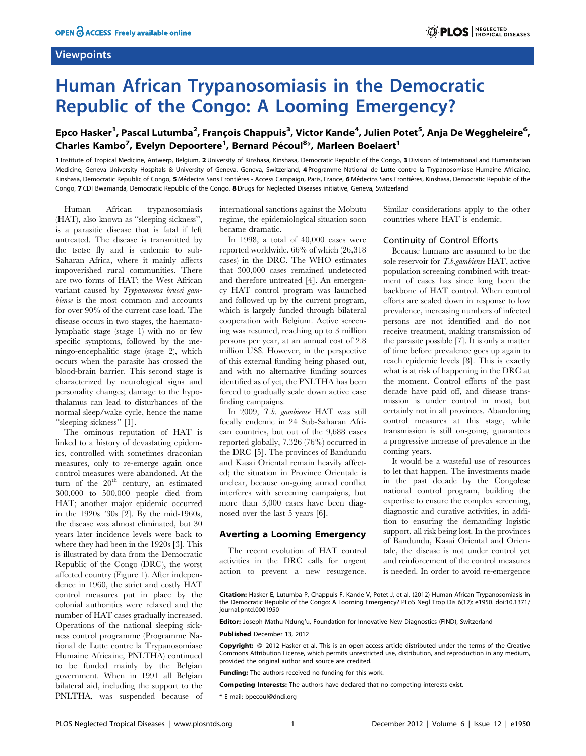## **Viewpoints**

# Human African Trypanosomiasis in the Democratic Republic of the Congo: A Looming Emergency?

# Epco Hasker<sup>1</sup>, Pascal Lutumba<sup>2</sup>, François Chappuis<sup>3</sup>, Victor Kande<sup>4</sup>, Julien Potet<sup>5</sup>, Anja De Weggheleire<sup>6</sup>, Charles Kambo<sup>7</sup>, Evelyn Depoortere<sup>1</sup>, Bernard Pécoul<sup>8\*</sup>, Marleen Boelaert<sup>1</sup>

1 Institute of Tropical Medicine, Antwerp, Belgium, 2 University of Kinshasa, Kinshasa, Democratic Republic of the Congo, 3Division of International and Humanitarian Medicine, Geneva University Hospitals & University of Geneva, Geneva, Switzerland, 4 Programme National de Lutte contre la Trypanosomiase Humaine Africaine, Kinshasa, Democratic Republic of Congo, 5 Médecins Sans Frontières - Access Campaign, Paris, France, 6 Médecins Sans Frontières, Kinshasa, Democratic Republic of the Congo, 7 CDI Bwamanda, Democratic Republic of the Congo, 8Drugs for Neglected Diseases initiative, Geneva, Switzerland

Human African trypanosomiasis (HAT), also known as ''sleeping sickness'', is a parasitic disease that is fatal if left untreated. The disease is transmitted by the tsetse fly and is endemic to sub-Saharan Africa, where it mainly affects impoverished rural communities. There are two forms of HAT; the West African variant caused by Trypanosoma brucei gambiense is the most common and accounts for over 90% of the current case load. The disease occurs in two stages, the haematolymphatic stage (stage 1) with no or few specific symptoms, followed by the meningo-encephalitic stage (stage 2), which occurs when the parasite has crossed the blood-brain barrier. This second stage is characterized by neurological signs and personality changes; damage to the hypothalamus can lead to disturbances of the normal sleep/wake cycle, hence the name ''sleeping sickness'' [1].

The ominous reputation of HAT is linked to a history of devastating epidemics, controlled with sometimes draconian measures, only to re-emerge again once control measures were abandoned. At the turn of the  $20<sup>th</sup>$  century, an estimated 300,000 to 500,000 people died from HAT; another major epidemic occurred in the 1920s–'30s [2]. By the mid-1960s, the disease was almost eliminated, but 30 years later incidence levels were back to where they had been in the 1920s [3]. This is illustrated by data from the Democratic Republic of the Congo (DRC), the worst affected country (Figure 1). After independence in 1960, the strict and costly HAT control measures put in place by the colonial authorities were relaxed and the number of HAT cases gradually increased. Operations of the national sleeping sickness control programme (Programme National de Lutte contre la Trypanosomiase Humaine Africaine, PNLTHA) continued to be funded mainly by the Belgian government. When in 1991 all Belgian bilateral aid, including the support to the PNLTHA, was suspended because of

international sanctions against the Mobutu regime, the epidemiological situation soon became dramatic.

In 1998, a total of 40,000 cases were reported worldwide, 66% of which (26,318 cases) in the DRC. The WHO estimates that 300,000 cases remained undetected and therefore untreated [4]. An emergency HAT control program was launched and followed up by the current program, which is largely funded through bilateral cooperation with Belgium. Active screening was resumed, reaching up to 3 million persons per year, at an annual cost of 2.8 million US\$. However, in the perspective of this external funding being phased out, and with no alternative funding sources identified as of yet, the PNLTHA has been forced to gradually scale down active case finding campaigns.

In 2009, T.b. gambiense HAT was still focally endemic in 24 Sub-Saharan African countries, but out of the 9,688 cases reported globally, 7,326 (76%) occurred in the DRC [5]. The provinces of Bandundu and Kasai Oriental remain heavily affected; the situation in Province Orientale is unclear, because on-going armed conflict interferes with screening campaigns, but more than 3,000 cases have been diagnosed over the last 5 years [6].

#### Averting a Looming Emergency

The recent evolution of HAT control activities in the DRC calls for urgent action to prevent a new resurgence. Similar considerations apply to the other countries where HAT is endemic.

#### Continuity of Control Efforts

Because humans are assumed to be the sole reservoir for T.b.gambiense HAT, active population screening combined with treatment of cases has since long been the backbone of HAT control. When control efforts are scaled down in response to low prevalence, increasing numbers of infected persons are not identified and do not receive treatment, making transmission of the parasite possible [7]. It is only a matter of time before prevalence goes up again to reach epidemic levels [8]. This is exactly what is at risk of happening in the DRC at the moment. Control efforts of the past decade have paid off, and disease transmission is under control in most, but certainly not in all provinces. Abandoning control measures at this stage, while transmission is still on-going, guarantees a progressive increase of prevalence in the coming years.

It would be a wasteful use of resources to let that happen. The investments made in the past decade by the Congolese national control program, building the expertise to ensure the complex screening, diagnostic and curative activities, in addition to ensuring the demanding logistic support, all risk being lost. In the provinces of Bandundu, Kasai Oriental and Orientale, the disease is not under control yet and reinforcement of the control measures is needed. In order to avoid re-emergence

Citation: Hasker E, Lutumba P, Chappuis F, Kande V, Potet J, et al. (2012) Human African Trypanosomiasis in the Democratic Republic of the Congo: A Looming Emergency? PLoS Negl Trop Dis 6(12): e1950. doi:10.1371/ journal.pntd.0001950

Editor: Joseph Mathu Ndung'u, Foundation for Innovative New Diagnostics (FIND), Switzerland

Published December 13, 2012

Copyright: © 2012 Hasker et al. This is an open-access article distributed under the terms of the Creative Commons Attribution License, which permits unrestricted use, distribution, and reproduction in any medium, provided the original author and source are credited.

Funding: The authors received no funding for this work.

Competing Interests: The authors have declared that no competing interests exist.

\* E-mail: bpecoul@dndi.org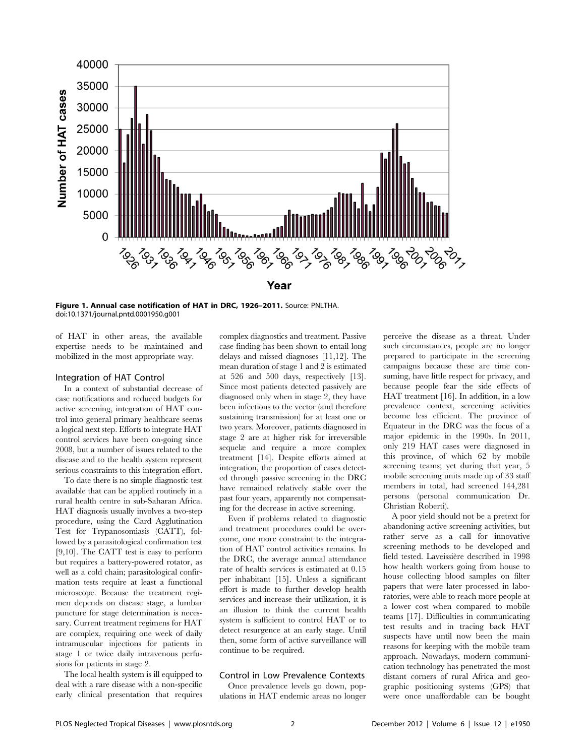

Figure 1. Annual case notification of HAT in DRC, 1926–2011. Source: PNLTHA. doi:10.1371/journal.pntd.0001950.g001

of HAT in other areas, the available expertise needs to be maintained and mobilized in the most appropriate way.

#### Integration of HAT Control

In a context of substantial decrease of case notifications and reduced budgets for active screening, integration of HAT control into general primary healthcare seems a logical next step. Efforts to integrate HAT control services have been on-going since 2008, but a number of issues related to the disease and to the health system represent serious constraints to this integration effort.

To date there is no simple diagnostic test available that can be applied routinely in a rural health centre in sub-Saharan Africa. HAT diagnosis usually involves a two-step procedure, using the Card Agglutination Test for Trypanosomiasis (CATT), followed by a parasitological confirmation test [9,10]. The CATT test is easy to perform but requires a battery-powered rotator, as well as a cold chain; parasitological confirmation tests require at least a functional microscope. Because the treatment regimen depends on disease stage, a lumbar puncture for stage determination is necessary. Current treatment regimens for HAT are complex, requiring one week of daily intramuscular injections for patients in stage 1 or twice daily intravenous perfusions for patients in stage 2.

The local health system is ill equipped to deal with a rare disease with a non-specific early clinical presentation that requires complex diagnostics and treatment. Passive case finding has been shown to entail long delays and missed diagnoses [11,12]. The mean duration of stage 1 and 2 is estimated at 526 and 500 days, respectively [13]. Since most patients detected passively are diagnosed only when in stage 2, they have been infectious to the vector (and therefore sustaining transmission) for at least one or two years. Moreover, patients diagnosed in stage 2 are at higher risk for irreversible sequelæ and require a more complex treatment [14]. Despite efforts aimed at integration, the proportion of cases detected through passive screening in the DRC have remained relatively stable over the past four years, apparently not compensating for the decrease in active screening.

Even if problems related to diagnostic and treatment procedures could be overcome, one more constraint to the integration of HAT control activities remains. In the DRC, the average annual attendance rate of health services is estimated at 0.15 per inhabitant [15]. Unless a significant effort is made to further develop health services and increase their utilization, it is an illusion to think the current health system is sufficient to control HAT or to detect resurgence at an early stage. Until then, some form of active surveillance will continue to be required.

## Control in Low Prevalence Contexts

Once prevalence levels go down, populations in HAT endemic areas no longer perceive the disease as a threat. Under such circumstances, people are no longer prepared to participate in the screening campaigns because these are time consuming, have little respect for privacy, and because people fear the side effects of HAT treatment [16]. In addition, in a low prevalence context, screening activities become less efficient. The province of Equateur in the DRC was the focus of a major epidemic in the 1990s. In 2011, only 219 HAT cases were diagnosed in this province, of which 62 by mobile screening teams; yet during that year, 5 mobile screening units made up of 33 staff members in total, had screened 144,281 persons (personal communication Dr. Christian Roberti).

A poor yield should not be a pretext for abandoning active screening activities, but rather serve as a call for innovative screening methods to be developed and field tested. Laveissière described in 1998 how health workers going from house to house collecting blood samples on filter papers that were later processed in laboratories, were able to reach more people at a lower cost when compared to mobile teams [17]. Difficulties in communicating test results and in tracing back HAT suspects have until now been the main reasons for keeping with the mobile team approach. Nowadays, modern communication technology has penetrated the most distant corners of rural Africa and geographic positioning systems (GPS) that were once unaffordable can be bought